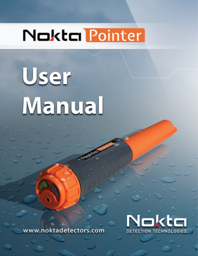# **Nokta Pointer**

**User Manual** 



www.noktadetectors.com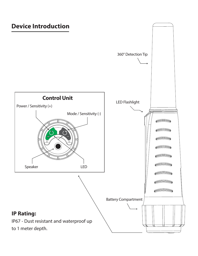#### **Device Introduction**

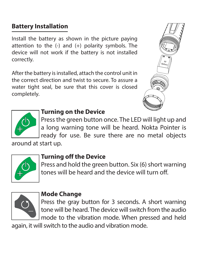## **Battery Installation**

Install the battery as shown in the picture paying attention to the  $(-)$  and  $(+)$  polarity symbols. The device will not work if the battery is not installed correctly.

After the battery is installed, attach the control unit in the correct direction and twist to secure. To assure a water tight seal, be sure that this cover is closed completely.





## **Turning on the Device**

Press the green button once. The LED will light up and a long warning tone will be heard. Nokta Pointer is ready for use. Be sure there are no metal objects

around at start up.



### **Turning off the Device**

Press and hold the green button. Six (6) short warning tones will be heard and the device will turn off.



#### **Mode Change**

Press the gray button for 3 seconds. A short warning tone will be heard. The device will switch from the audio mode to the vibration mode. When pressed and held

again, it will switch to the audio and vibration mode.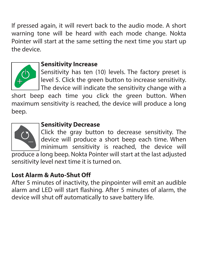If pressed again, it will revert back to the audio mode. A short warning tone will be heard with each mode change. Nokta Pointer will start at the same setting the next time you start up the device.



#### **Sensitivity Increase**

Sensitivity has ten (10) levels. The factory preset is level 5. Click the green button to increase sensitivity. The device will indicate the sensitivity change with a

short beep each time you click the green button. When maximum sensitivity is reached, the device will produce a long beep.



#### **Sensitivity Decrease**

Click the gray button to decrease sensitivity. The device will produce a short beep each time. When minimum sensitivity is reached, the device will

produce a long beep. Nokta Pointer will start at the last adjusted sensitivity level next time it is turned on.

#### **Lost Alarm & Auto-Shut Off**

After 5 minutes of inactivity, the pinpointer will emit an audible alarm and LED will start flashing. After 5 minutes of alarm, the device will shut off automatically to save battery life.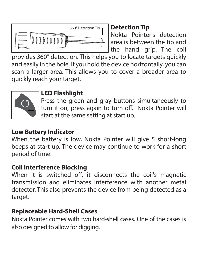

## **Detection Tip**

Nokta Pointer's detection area is between the tip and the hand grip. The coil

provides 360° detection. This helps you to locate targets quickly and easily in the hole. If you hold the device horizontally, you can scan a larger area. This allows you to cover a broader area to quickly reach your target.



## **LED Flashlight**

Press the green and gray buttons simultaneously to turn it on, press again to turn off. Nokta Pointer will start at the same setting at start up.

## **Low Battery Indicator**

When the battery is low, Nokta Pointer will give 5 short-long beeps at start up. The device may continue to work for a short period of time.

# **Coil Interference Blocking**

When it is switched off, it disconnects the coil's magnetic transmission and eliminates interference with another metal detector. This also prevents the device from being detected as a target.

# **Replaceable Hard-Shell Cases**

Nokta Pointer comes with two hard-shell cases. One of the cases is also designed to allow for digging.